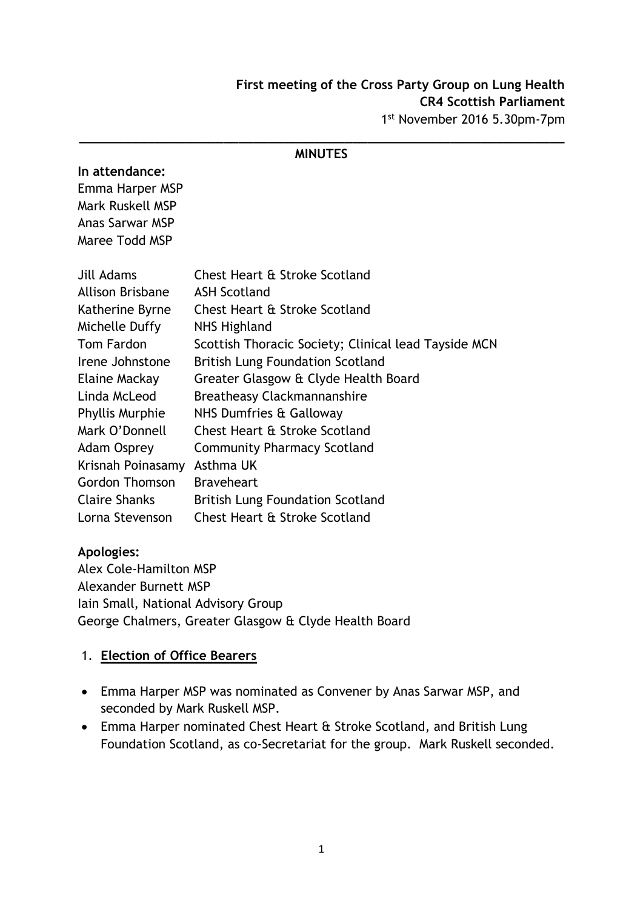#### **\_\_\_\_\_\_\_\_\_\_\_\_\_\_\_\_\_\_\_\_\_\_\_\_\_\_\_\_\_\_\_\_\_\_\_\_\_\_\_\_\_\_\_\_\_\_\_\_\_\_\_\_\_\_\_\_\_\_\_\_\_\_\_\_ MINUTES**

#### **In attendance:**

Emma Harper MSP Mark Ruskell MSP Anas Sarwar MSP Maree Todd MSP

| Jill Adams             | Chest Heart & Stroke Scotland                        |
|------------------------|------------------------------------------------------|
| Allison Brisbane       | <b>ASH Scotland</b>                                  |
| Katherine Byrne        | Chest Heart & Stroke Scotland                        |
| Michelle Duffy         | NHS Highland                                         |
| Tom Fardon             | Scottish Thoracic Society; Clinical lead Tayside MCN |
| Irene Johnstone        | <b>British Lung Foundation Scotland</b>              |
| Elaine Mackay          | Greater Glasgow & Clyde Health Board                 |
| Linda McLeod           | <b>Breatheasy Clackmannanshire</b>                   |
| <b>Phyllis Murphie</b> | NHS Dumfries & Galloway                              |
| Mark O'Donnell         | Chest Heart & Stroke Scotland                        |
| <b>Adam Osprey</b>     | <b>Community Pharmacy Scotland</b>                   |
| Krisnah Poinasamy      | Asthma UK                                            |
| <b>Gordon Thomson</b>  | <b>Braveheart</b>                                    |
| <b>Claire Shanks</b>   | <b>British Lung Foundation Scotland</b>              |
| Lorna Stevenson        | Chest Heart & Stroke Scotland                        |

### **Apologies:**

Alex Cole-Hamilton MSP Alexander Burnett MSP Iain Small, National Advisory Group George Chalmers, Greater Glasgow & Clyde Health Board

### 1. **Election of Office Bearers**

- Emma Harper MSP was nominated as Convener by Anas Sarwar MSP, and seconded by Mark Ruskell MSP.
- Emma Harper nominated Chest Heart & Stroke Scotland, and British Lung Foundation Scotland, as co-Secretariat for the group. Mark Ruskell seconded.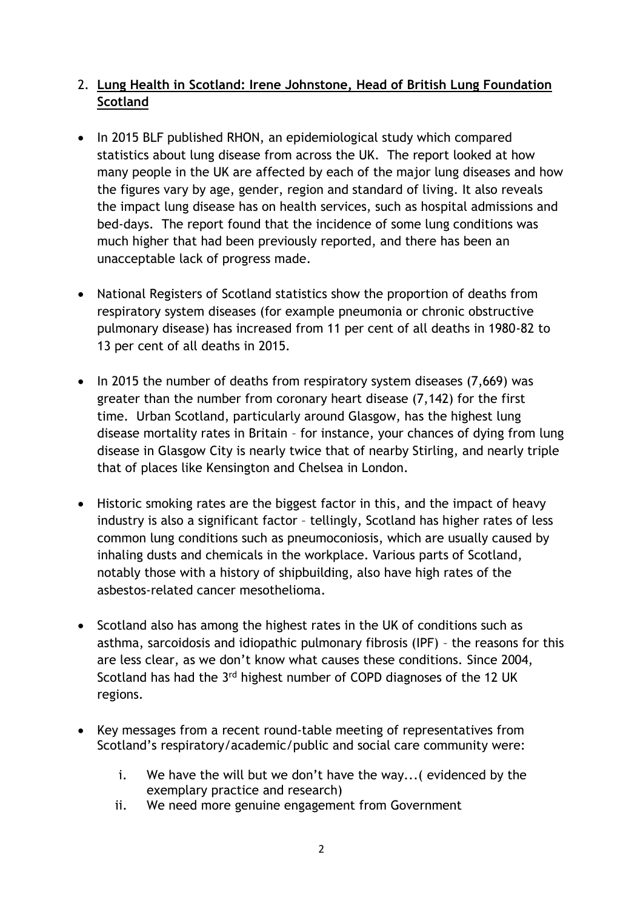# 2. **Lung Health in Scotland: Irene Johnstone, Head of British Lung Foundation Scotland**

- In 2015 BLF published RHON, an epidemiological study which compared statistics about lung disease from across the UK. The report looked at how many people in the UK are affected by each of the major lung diseases and how the figures vary by age, gender, region and standard of living. It also reveals the impact lung disease has on health services, such as hospital admissions and bed-days. The report found that the incidence of some lung conditions was much higher that had been previously reported, and there has been an unacceptable lack of progress made.
- National Registers of Scotland statistics show the proportion of deaths from respiratory system diseases (for example pneumonia or chronic obstructive pulmonary disease) has increased from 11 per cent of all deaths in 1980-82 to 13 per cent of all deaths in 2015.
- $\bullet$  In 2015 the number of deaths from respiratory system diseases (7,669) was greater than the number from coronary heart disease (7,142) for the first time. Urban Scotland, particularly around Glasgow, has the highest lung disease mortality rates in Britain – for instance, your chances of dying from lung disease in Glasgow City is nearly twice that of nearby Stirling, and nearly triple that of places like Kensington and Chelsea in London.
- Historic smoking rates are the biggest factor in this, and the impact of heavy industry is also a significant factor – tellingly, Scotland has higher rates of less common lung conditions such as pneumoconiosis, which are usually caused by inhaling dusts and chemicals in the workplace. Various parts of Scotland, notably those with a history of shipbuilding, also have high rates of the asbestos-related cancer mesothelioma.
- Scotland also has among the highest rates in the UK of conditions such as asthma, sarcoidosis and idiopathic pulmonary fibrosis (IPF) – the reasons for this are less clear, as we don't know what causes these conditions. Since 2004, Scotland has had the 3rd highest number of COPD diagnoses of the 12 UK regions.
- Key messages from a recent round-table meeting of representatives from Scotland's respiratory/academic/public and social care community were:
	- i. We have the will but we don't have the way...( evidenced by the exemplary practice and research)
	- ii. We need more genuine engagement from Government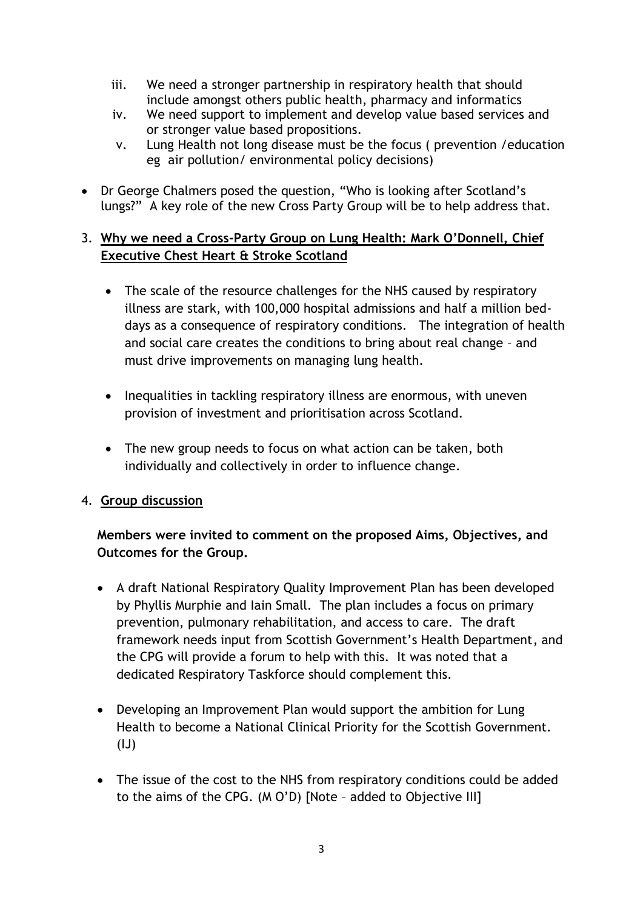- iii. We need a stronger partnership in respiratory health that should include amongst others public health, pharmacy and informatics
- iv. We need support to implement and develop value based services and or stronger value based propositions.
- v. Lung Health not long disease must be the focus ( prevention /education eg air pollution/ environmental policy decisions)
- Dr George Chalmers posed the question, "Who is looking after Scotland's lungs?" A key role of the new Cross Party Group will be to help address that.

# 3. **Why we need a Cross-Party Group on Lung Health: Mark O'Donnell, Chief Executive Chest Heart & Stroke Scotland**

- The scale of the resource challenges for the NHS caused by respiratory illness are stark, with 100,000 hospital admissions and half a million beddays as a consequence of respiratory conditions. The integration of health and social care creates the conditions to bring about real change – and must drive improvements on managing lung health.
- Inequalities in tackling respiratory illness are enormous, with uneven provision of investment and prioritisation across Scotland.
- The new group needs to focus on what action can be taken, both individually and collectively in order to influence change.

# 4. **Group discussion**

**Members were invited to comment on the proposed Aims, Objectives, and Outcomes for the Group.**

- A draft National Respiratory Quality Improvement Plan has been developed by Phyllis Murphie and Iain Small. The plan includes a focus on primary prevention, pulmonary rehabilitation, and access to care. The draft framework needs input from Scottish Government's Health Department, and the CPG will provide a forum to help with this. It was noted that a dedicated Respiratory Taskforce should complement this.
- Developing an Improvement Plan would support the ambition for Lung Health to become a National Clinical Priority for the Scottish Government.  $(IJ)$
- The issue of the cost to the NHS from respiratory conditions could be added to the aims of the CPG. (M O'D) [Note – added to Objective III]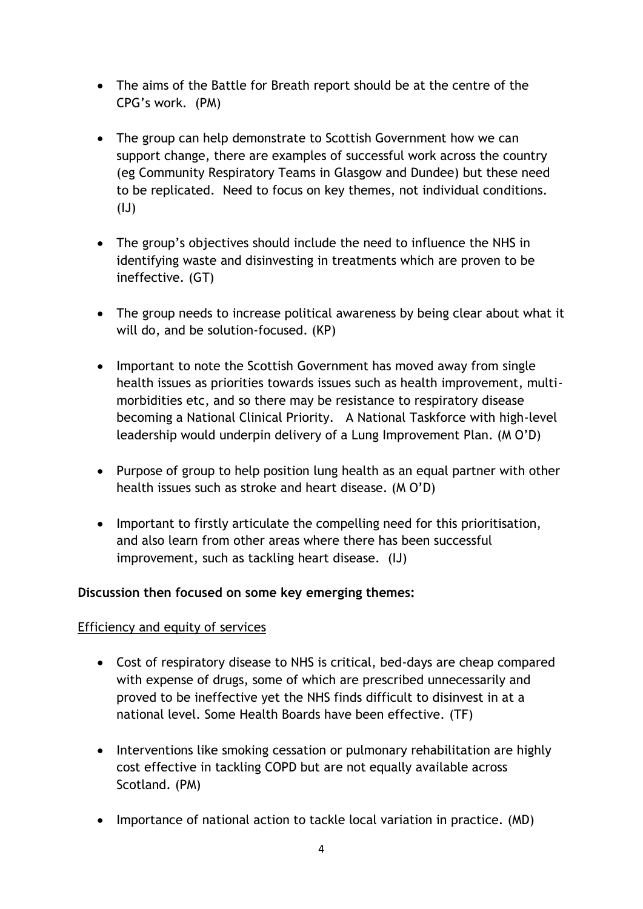- The aims of the Battle for Breath report should be at the centre of the CPG's work. (PM)
- The group can help demonstrate to Scottish Government how we can support change, there are examples of successful work across the country (eg Community Respiratory Teams in Glasgow and Dundee) but these need to be replicated. Need to focus on key themes, not individual conditions.  $(IJ)$
- The group's objectives should include the need to influence the NHS in identifying waste and disinvesting in treatments which are proven to be ineffective. (GT)
- The group needs to increase political awareness by being clear about what it will do, and be solution-focused. (KP)
- Important to note the Scottish Government has moved away from single health issues as priorities towards issues such as health improvement, multimorbidities etc, and so there may be resistance to respiratory disease becoming a National Clinical Priority. A National Taskforce with high-level leadership would underpin delivery of a Lung Improvement Plan. (M O'D)
- Purpose of group to help position lung health as an equal partner with other health issues such as stroke and heart disease. (M O'D)
- Important to firstly articulate the compelling need for this prioritisation, and also learn from other areas where there has been successful improvement, such as tackling heart disease. (IJ)

### **Discussion then focused on some key emerging themes:**

### Efficiency and equity of services

- Cost of respiratory disease to NHS is critical, bed-days are cheap compared with expense of drugs, some of which are prescribed unnecessarily and proved to be ineffective yet the NHS finds difficult to disinvest in at a national level. Some Health Boards have been effective. (TF)
- Interventions like smoking cessation or pulmonary rehabilitation are highly cost effective in tackling COPD but are not equally available across Scotland. (PM)
- Importance of national action to tackle local variation in practice. (MD)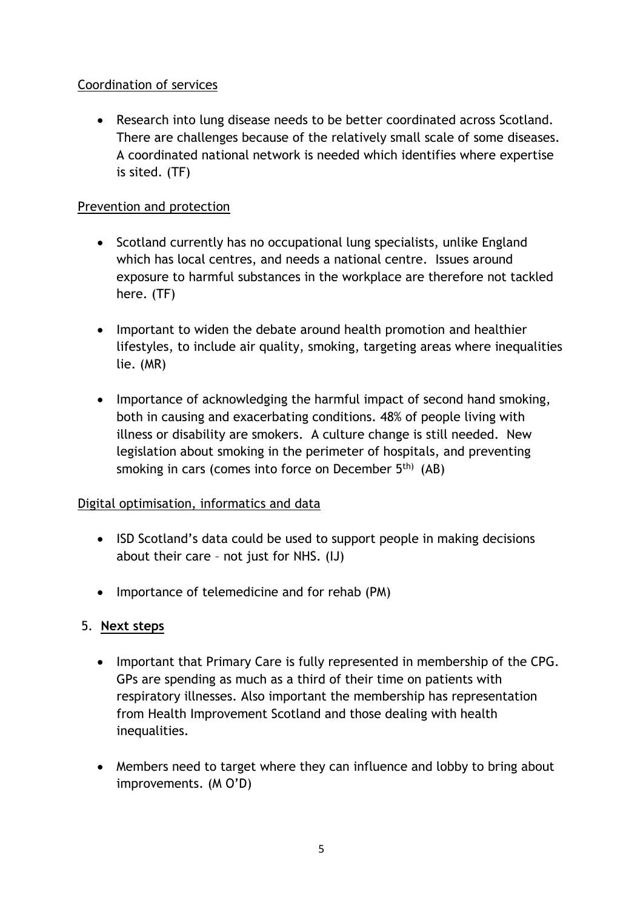# Coordination of services

 Research into lung disease needs to be better coordinated across Scotland. There are challenges because of the relatively small scale of some diseases. A coordinated national network is needed which identifies where expertise is sited. (TF)

# Prevention and protection

- Scotland currently has no occupational lung specialists, unlike England which has local centres, and needs a national centre. Issues around exposure to harmful substances in the workplace are therefore not tackled here. (TF)
- Important to widen the debate around health promotion and healthier lifestyles, to include air quality, smoking, targeting areas where inequalities lie. (MR)
- Importance of acknowledging the harmful impact of second hand smoking, both in causing and exacerbating conditions. 48% of people living with illness or disability are smokers. A culture change is still needed. New legislation about smoking in the perimeter of hospitals, and preventing smoking in cars (comes into force on December  $5<sup>th</sup>$  (AB)

### Digital optimisation, informatics and data

- ISD Scotland's data could be used to support people in making decisions about their care – not just for NHS. (IJ)
- Importance of telemedicine and for rehab (PM)

### 5. **Next steps**

- Important that Primary Care is fully represented in membership of the CPG. GPs are spending as much as a third of their time on patients with respiratory illnesses. Also important the membership has representation from Health Improvement Scotland and those dealing with health inequalities.
- Members need to target where they can influence and lobby to bring about improvements. (M O'D)